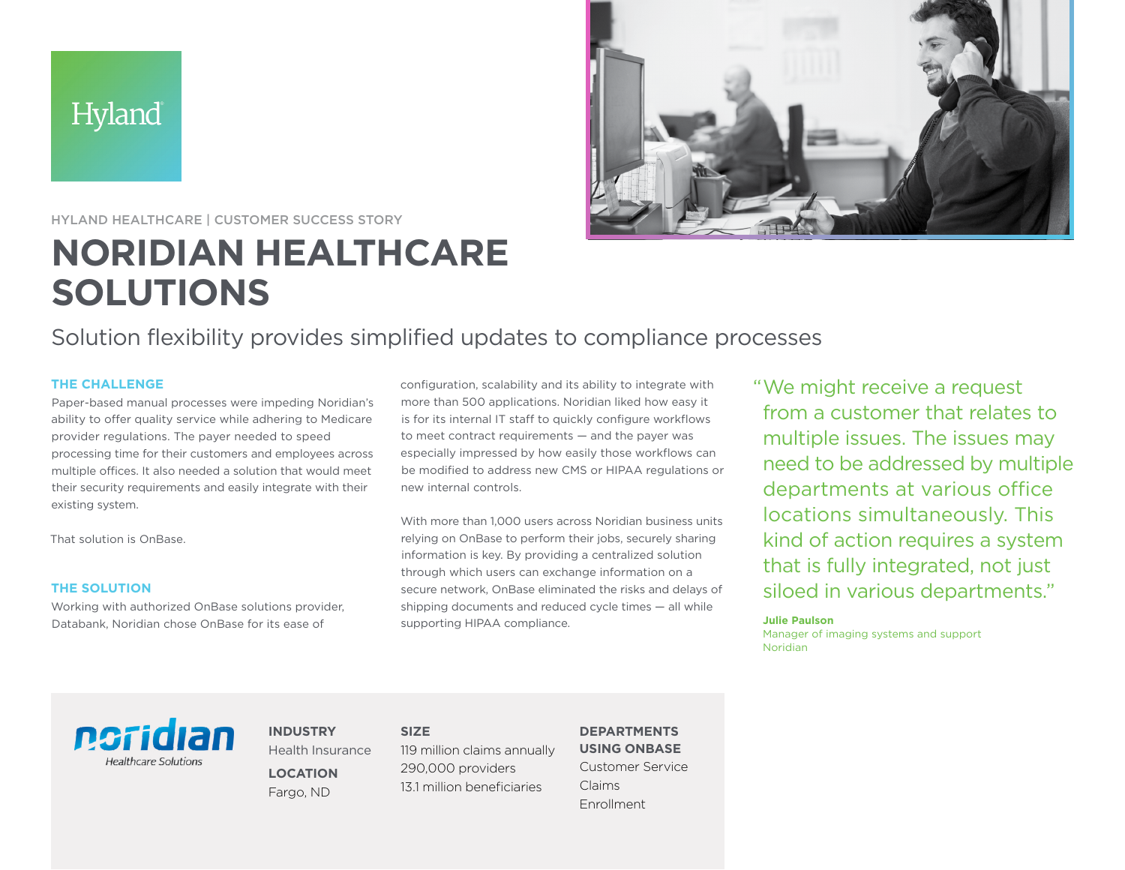



## HYLAND HEALTHCARE | CUSTOMER SUCCESS STORY

# **NORIDIAN HEALTHCARE SOLUTIONS**

Solution flexibility provides simplified updates to compliance processes

## **THE CHALLENGE**

Paper-based manual processes were impeding Noridian's ability to offer quality service while adhering to Medicare provider regulations. The payer needed to speed processing time for their customers and employees across multiple offices. It also needed a solution that would meet their security requirements and easily integrate with their existing system.

That solution is OnBase.

#### **THE SOLUTION**

Working with authorized OnBase solutions provider, Databank, Noridian chose OnBase for its ease of

configuration, scalability and its ability to integrate with more than 500 applications. Noridian liked how easy it is for its internal IT staff to quickly configure workflows to meet contract requirements — and the payer was especially impressed by how easily those workflows can be modified to address new CMS or HIPAA regulations or new internal controls.

With more than 1,000 users across Noridian business units relying on OnBase to perform their jobs, securely sharing information is key. By providing a centralized solution through which users can exchange information on a secure network, OnBase eliminated the risks and delays of shipping documents and reduced cycle times — all while supporting HIPAA compliance.

"We might receive a request from a customer that relates to multiple issues. The issues may need to be addressed by multiple departments at various office locations simultaneously. This kind of action requires a system that is fully integrated, not just siloed in various departments."

#### **Julie Paulson**

Manager of imaging systems and support Noridian

ngridian **Healthcare Solutions** 

**INDUSTRY** Health Insurance **LOCATION** Fargo, ND

**SIZE** 119 million claims annually 290,000 providers 13.1 million beneficiaries

## **DEPARTMENTS USING ONBASE**

Customer Service Claims Enrollment